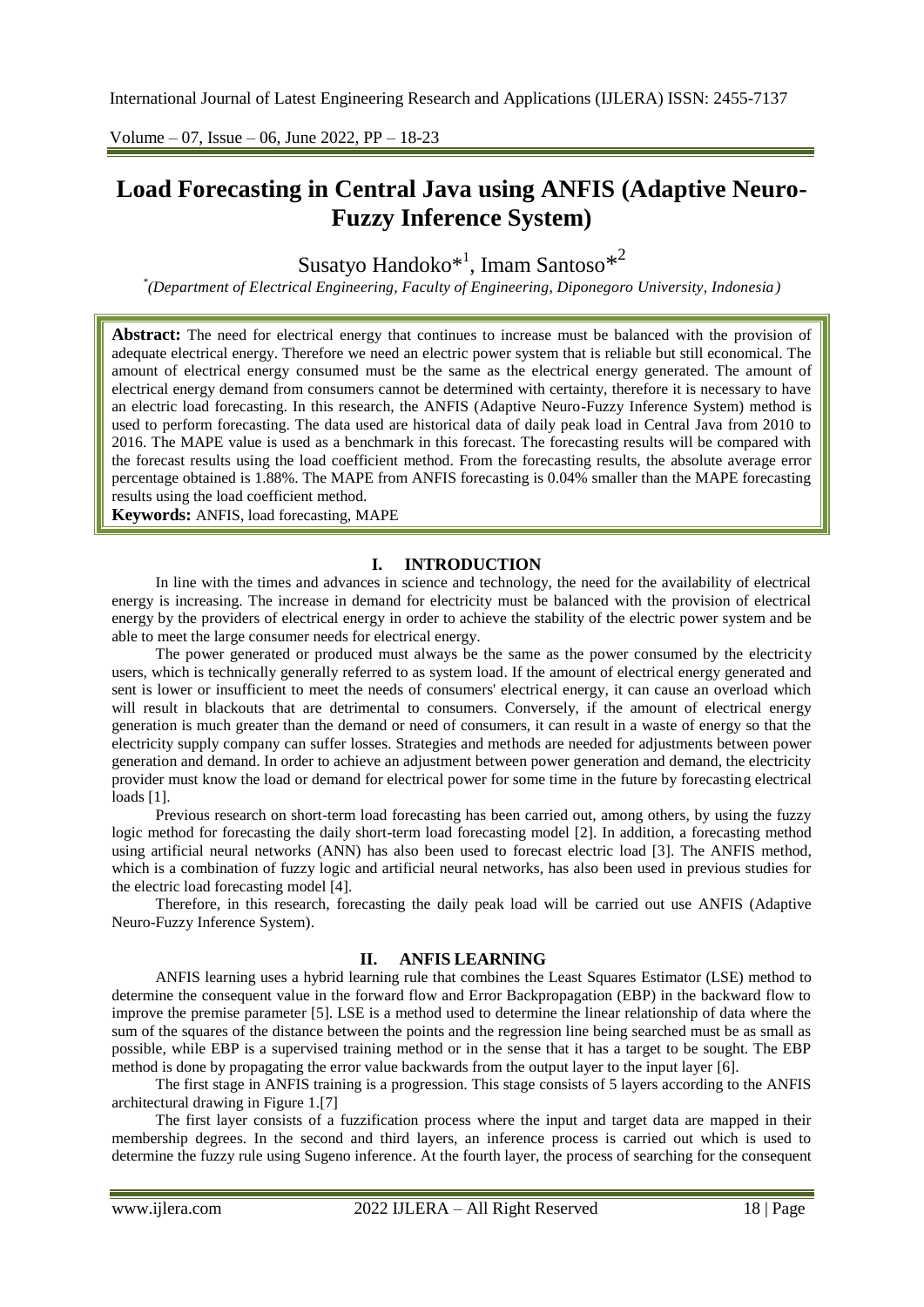Volume – 07, Issue – 06, June 2022, PP – 18-23

# **Load Forecasting in Central Java using ANFIS (Adaptive Neuro-Fuzzy Inference System)**

Susatyo Handoko $^{\ast^1}$ , Imam Santoso $^{\ast^2}$ 

*\* (Department of Electrical Engineering, Faculty of Engineering, Diponegoro University, Indonesia)*

**Abstract:** The need for electrical energy that continues to increase must be balanced with the provision of adequate electrical energy. Therefore we need an electric power system that is reliable but still economical. The amount of electrical energy consumed must be the same as the electrical energy generated. The amount of electrical energy demand from consumers cannot be determined with certainty, therefore it is necessary to have an electric load forecasting. In this research, the ANFIS (Adaptive Neuro-Fuzzy Inference System) method is used to perform forecasting. The data used are historical data of daily peak load in Central Java from 2010 to 2016. The MAPE value is used as a benchmark in this forecast. The forecasting results will be compared with the forecast results using the load coefficient method. From the forecasting results, the absolute average error percentage obtained is 1.88%. The MAPE from ANFIS forecasting is 0.04% smaller than the MAPE forecasting results using the load coefficient method.

**Keywords:** ANFIS, load forecasting, MAPE

# **I. INTRODUCTION**

In line with the times and advances in science and technology, the need for the availability of electrical energy is increasing. The increase in demand for electricity must be balanced with the provision of electrical energy by the providers of electrical energy in order to achieve the stability of the electric power system and be able to meet the large consumer needs for electrical energy.

The power generated or produced must always be the same as the power consumed by the electricity users, which is technically generally referred to as system load. If the amount of electrical energy generated and sent is lower or insufficient to meet the needs of consumers' electrical energy, it can cause an overload which will result in blackouts that are detrimental to consumers. Conversely, if the amount of electrical energy generation is much greater than the demand or need of consumers, it can result in a waste of energy so that the electricity supply company can suffer losses. Strategies and methods are needed for adjustments between power generation and demand. In order to achieve an adjustment between power generation and demand, the electricity provider must know the load or demand for electrical power for some time in the future by forecasting electrical loads [1].

Previous research on short-term load forecasting has been carried out, among others, by using the fuzzy logic method for forecasting the daily short-term load forecasting model [2]. In addition, a forecasting method using artificial neural networks (ANN) has also been used to forecast electric load [3]. The ANFIS method, which is a combination of fuzzy logic and artificial neural networks, has also been used in previous studies for the electric load forecasting model [4].

Therefore, in this research, forecasting the daily peak load will be carried out use ANFIS (Adaptive Neuro-Fuzzy Inference System).

# **II. ANFIS LEARNING**

ANFIS learning uses a hybrid learning rule that combines the Least Squares Estimator (LSE) method to determine the consequent value in the forward flow and Error Backpropagation (EBP) in the backward flow to improve the premise parameter [5]. LSE is a method used to determine the linear relationship of data where the sum of the squares of the distance between the points and the regression line being searched must be as small as possible, while EBP is a supervised training method or in the sense that it has a target to be sought. The EBP method is done by propagating the error value backwards from the output layer to the input layer [6].

The first stage in ANFIS training is a progression. This stage consists of 5 layers according to the ANFIS architectural drawing in Figure 1.[7]

The first layer consists of a fuzzification process where the input and target data are mapped in their membership degrees. In the second and third layers, an inference process is carried out which is used to determine the fuzzy rule using Sugeno inference. At the fourth layer, the process of searching for the consequent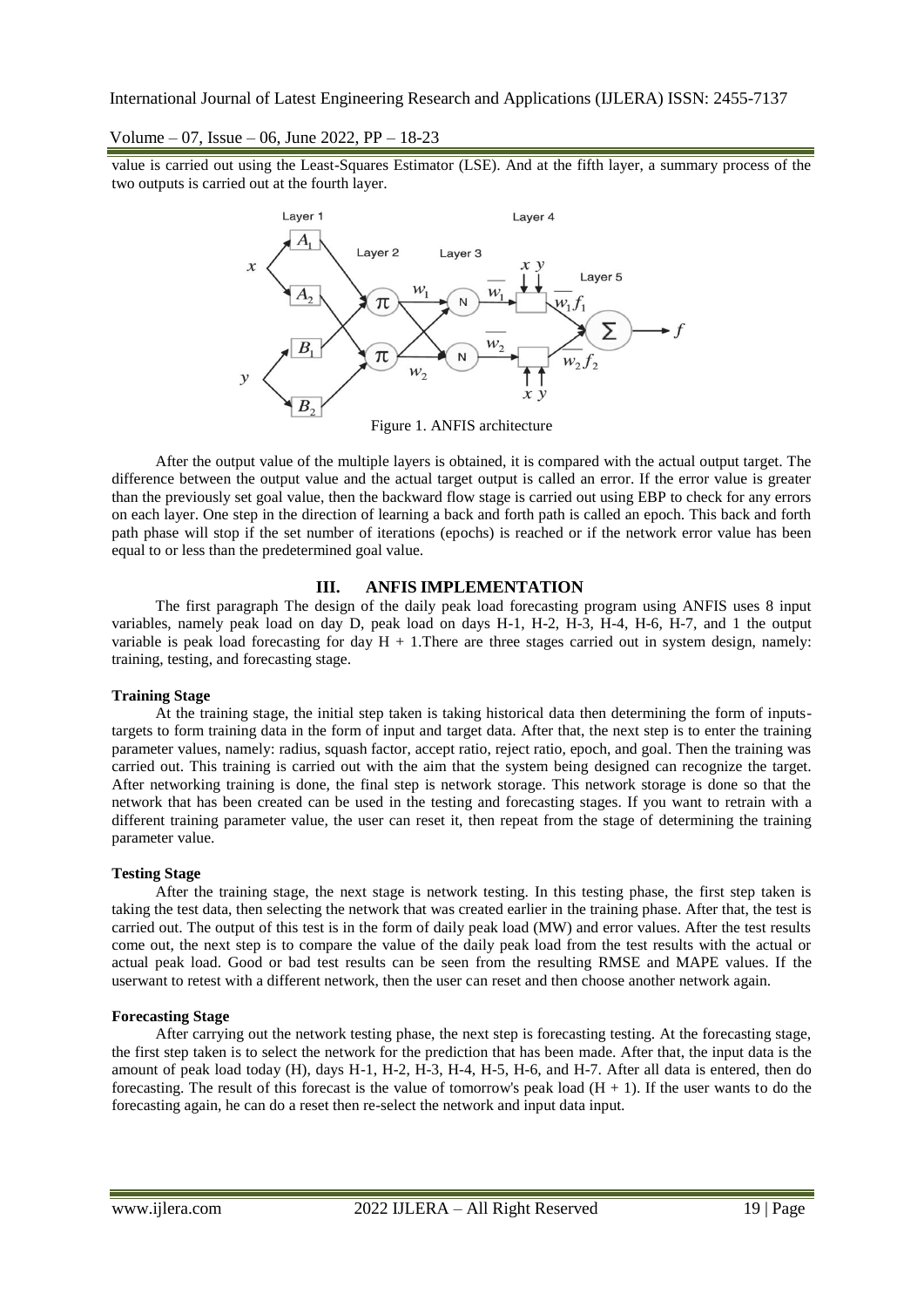Volume – 07, Issue – 06, June 2022, PP – 18-23

value is carried out using the Least-Squares Estimator (LSE). And at the fifth layer, a summary process of the two outputs is carried out at the fourth layer.



Figure 1. ANFIS architecture

After the output value of the multiple layers is obtained, it is compared with the actual output target. The difference between the output value and the actual target output is called an error. If the error value is greater than the previously set goal value, then the backward flow stage is carried out using EBP to check for any errors on each layer. One step in the direction of learning a back and forth path is called an epoch. This back and forth path phase will stop if the set number of iterations (epochs) is reached or if the network error value has been equal to or less than the predetermined goal value.

# **III. ANFIS IMPLEMENTATION**

The first paragraph The design of the daily peak load forecasting program using ANFIS uses 8 input variables, namely peak load on day D, peak load on days H-1, H-2, H-3, H-4, H-6, H-7, and 1 the output variable is peak load forecasting for day  $H + 1$ . There are three stages carried out in system design, namely: training, testing, and forecasting stage.

#### **Training Stage**

At the training stage, the initial step taken is taking historical data then determining the form of inputstargets to form training data in the form of input and target data. After that, the next step is to enter the training parameter values, namely: radius, squash factor, accept ratio, reject ratio, epoch, and goal. Then the training was carried out. This training is carried out with the aim that the system being designed can recognize the target. After networking training is done, the final step is network storage. This network storage is done so that the network that has been created can be used in the testing and forecasting stages. If you want to retrain with a different training parameter value, the user can reset it, then repeat from the stage of determining the training parameter value.

#### **Testing Stage**

After the training stage, the next stage is network testing. In this testing phase, the first step taken is taking the test data, then selecting the network that was created earlier in the training phase. After that, the test is carried out. The output of this test is in the form of daily peak load (MW) and error values. After the test results come out, the next step is to compare the value of the daily peak load from the test results with the actual or actual peak load. Good or bad test results can be seen from the resulting RMSE and MAPE values. If the userwant to retest with a different network, then the user can reset and then choose another network again.

#### **Forecasting Stage**

After carrying out the network testing phase, the next step is forecasting testing. At the forecasting stage, the first step taken is to select the network for the prediction that has been made. After that, the input data is the amount of peak load today (H), days H-1, H-2, H-3, H-4, H-5, H-6, and H-7. After all data is entered, then do forecasting. The result of this forecast is the value of tomorrow's peak load  $(H + 1)$ . If the user wants to do the forecasting again, he can do a reset then re-select the network and input data input.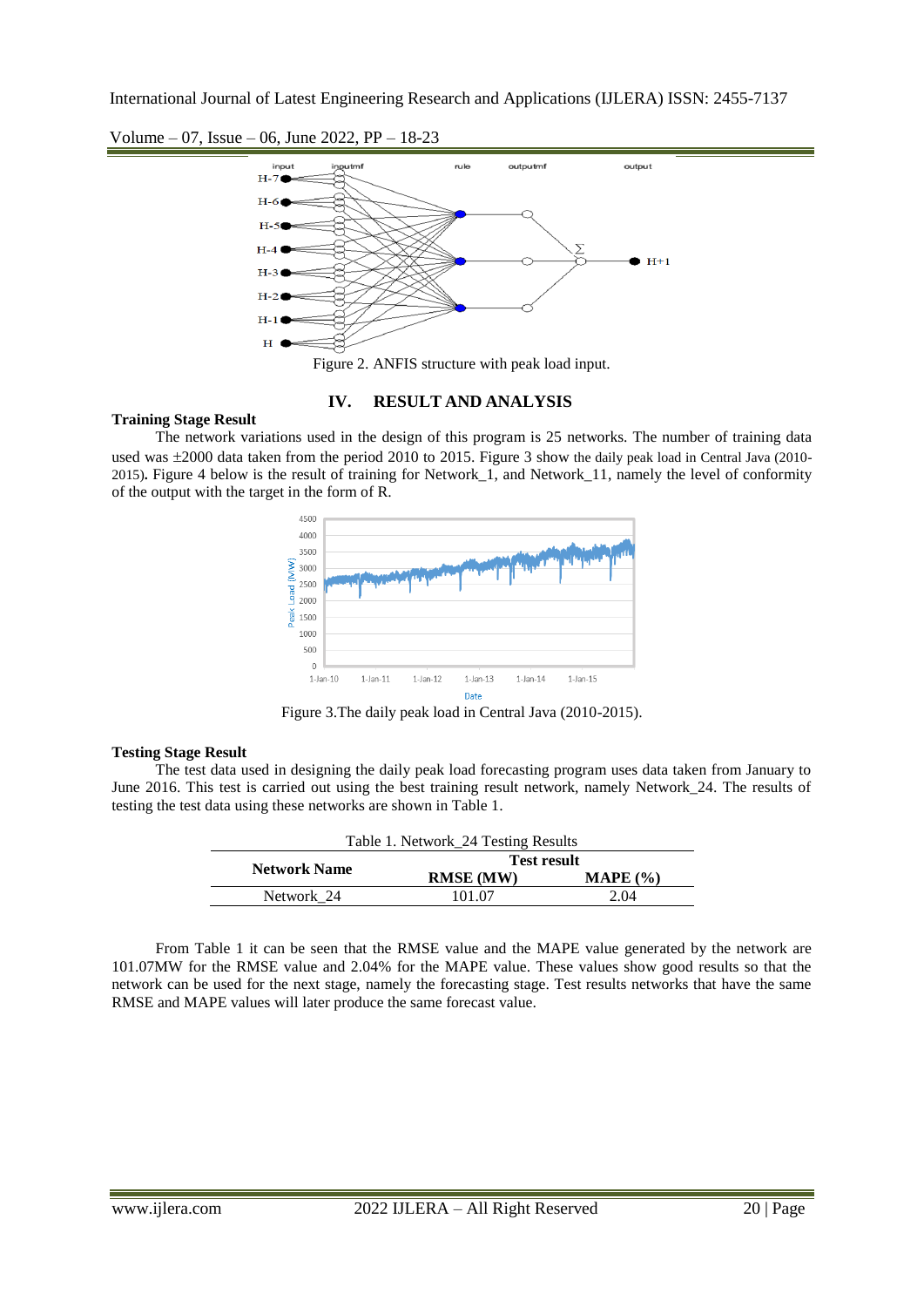



Figure 2. ANFIS structure with peak load input.

# **IV. RESULT AND ANALYSIS**

# **Training Stage Result**

The network variations used in the design of this program is 25 networks. The number of training data used was  $\pm 2000$  data taken from the period 2010 to 2015. Figure 3 show the daily peak load in Central Java (2010-2015)**.** Figure 4 below is the result of training for Network\_1, and Network\_11, namely the level of conformity of the output with the target in the form of R.



Figure 3.The daily peak load in Central Java (2010-2015).

#### **Testing Stage Result**

The test data used in designing the daily peak load forecasting program uses data taken from January to June 2016. This test is carried out using the best training result network, namely Network\_24. The results of testing the test data using these networks are shown in Table 1.

| Table 1. Network_24 Testing Results |                    |          |  |  |
|-------------------------------------|--------------------|----------|--|--|
| <b>Network Name</b>                 | <b>Test result</b> |          |  |  |
|                                     | <b>RMSE</b> (MW)   | MAPE (%) |  |  |
| Network 24                          | 101.07             | 2.04     |  |  |
|                                     |                    |          |  |  |

From Table 1 it can be seen that the RMSE value and the MAPE value generated by the network are 101.07MW for the RMSE value and 2.04% for the MAPE value. These values show good results so that the network can be used for the next stage, namely the forecasting stage. Test results networks that have the same RMSE and MAPE values will later produce the same forecast value.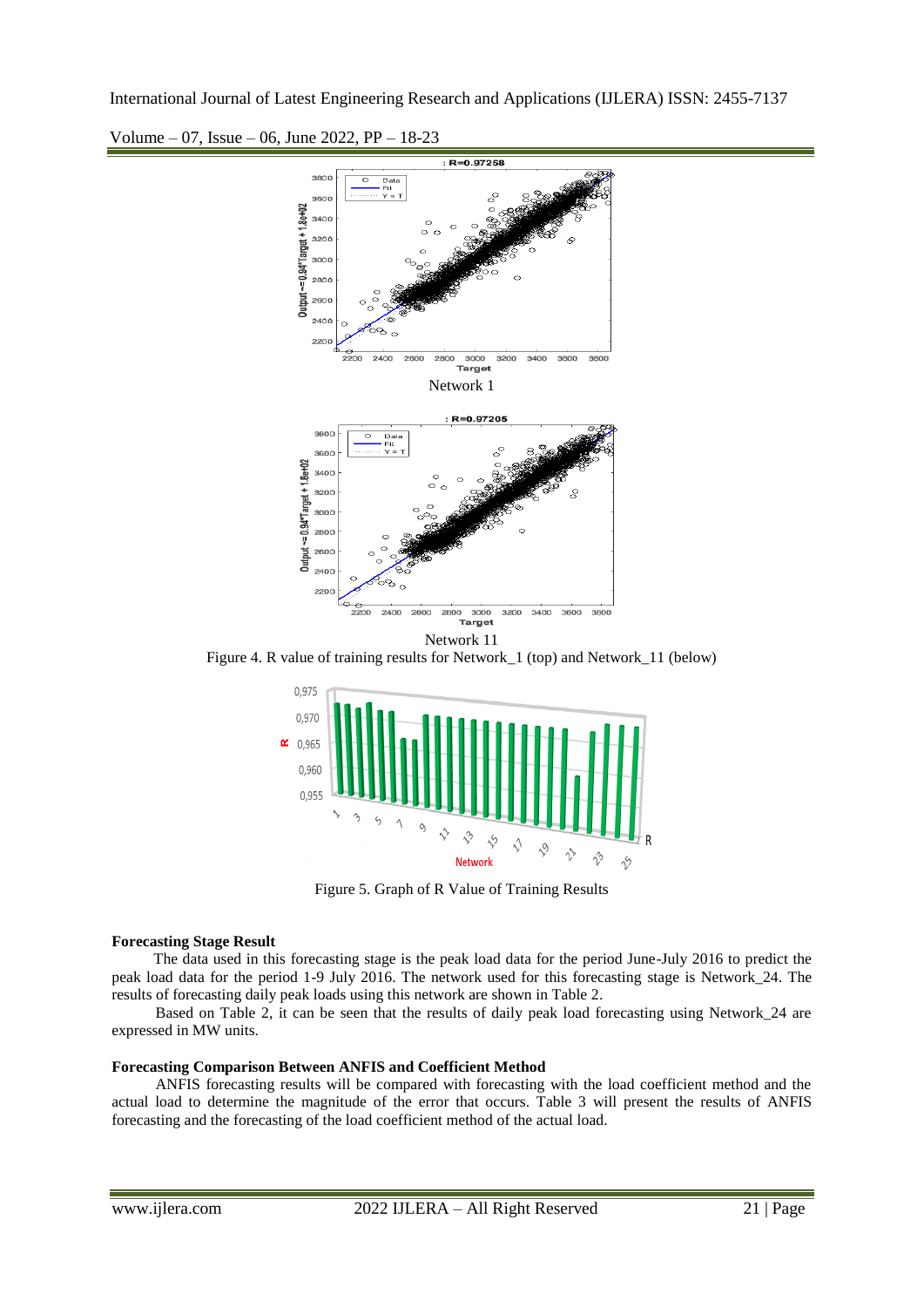

Volume – 07, Issue – 06, June 2022, PP – 18-23

Figure 4. R value of training results for Network\_1 (top) and Network\_11 (below)



Figure 5. Graph of R Value of Training Results

#### **Forecasting Stage Result**

The data used in this forecasting stage is the peak load data for the period June-July 2016 to predict the peak load data for the period 1-9 July 2016. The network used for this forecasting stage is Network\_24. The results of forecasting daily peak loads using this network are shown in Table 2.

Based on Table 2, it can be seen that the results of daily peak load forecasting using Network\_24 are expressed in MW units.

# **Forecasting Comparison Between ANFIS and Coefficient Method**

ANFIS forecasting results will be compared with forecasting with the load coefficient method and the actual load to determine the magnitude of the error that occurs. Table 3 will present the results of ANFIS forecasting and the forecasting of the load coefficient method of the actual load.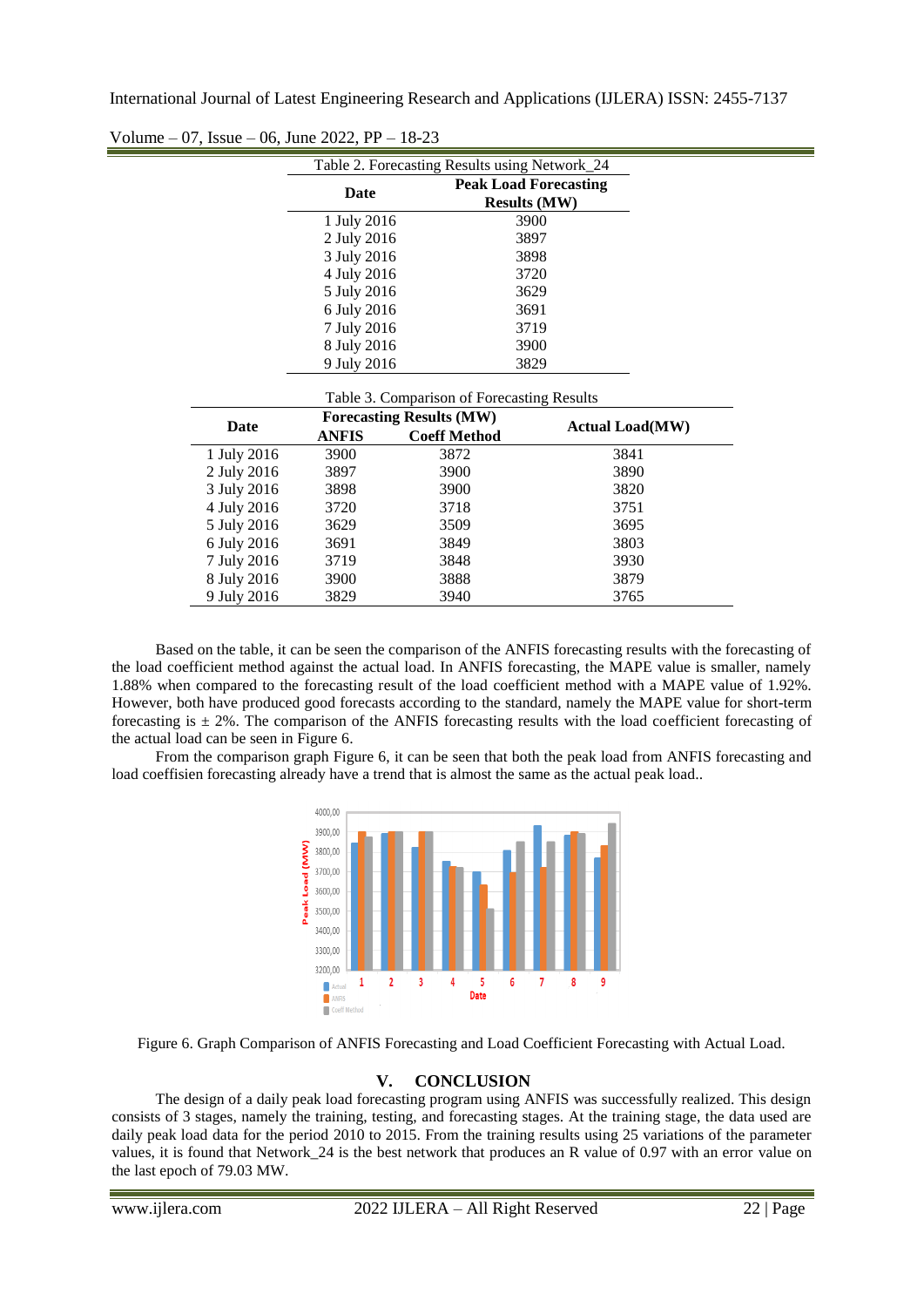|             | Table 2. Forecasting Results using Network_24 |                     |                              |  |  |  |
|-------------|-----------------------------------------------|---------------------|------------------------------|--|--|--|
|             | Date                                          |                     | <b>Peak Load Forecasting</b> |  |  |  |
|             |                                               |                     | <b>Results (MW)</b>          |  |  |  |
|             | 1 July 2016                                   |                     | 3900                         |  |  |  |
|             | 2 July 2016                                   |                     | 3897                         |  |  |  |
|             | 3 July 2016                                   |                     | 3898                         |  |  |  |
|             | 4 July 2016                                   |                     | 3720                         |  |  |  |
|             | 5 July 2016                                   |                     | 3629                         |  |  |  |
|             | 6 July 2016                                   |                     | 3691                         |  |  |  |
|             | 7 July 2016                                   |                     | 3719                         |  |  |  |
|             | 8 July 2016                                   |                     | 3900                         |  |  |  |
|             | 9 July 2016                                   |                     | 3829                         |  |  |  |
|             |                                               |                     |                              |  |  |  |
|             | Table 3. Comparison of Forecasting Results    |                     |                              |  |  |  |
| Date        | <b>Forecasting Results (MW)</b>               |                     | <b>Actual Load(MW)</b>       |  |  |  |
|             | <b>ANFIS</b>                                  | <b>Coeff Method</b> |                              |  |  |  |
| 1 July 2016 | 3900                                          | 3872                | 3841                         |  |  |  |
| 2 July 2016 | 3897                                          | 3900                | 3890                         |  |  |  |
| 3 July 2016 | 3898                                          | 3900                | 3820                         |  |  |  |
| 4 July 2016 | 3720                                          | 3718                | 3751                         |  |  |  |
| 5 July 2016 | 3629                                          | 3509                | 3695                         |  |  |  |
| 6 July 2016 | 3691                                          | 3849                | 3803                         |  |  |  |
| 7 July 2016 | 3719                                          | 3848                | 3930                         |  |  |  |
| 8 July 2016 | 3900                                          | 3888                | 3879                         |  |  |  |
| 9 July 2016 | 3829                                          | 3940                | 3765                         |  |  |  |

Volume – 07, Issue – 06, June 2022, PP – 18-23

Based on the table, it can be seen the comparison of the ANFIS forecasting results with the forecasting of the load coefficient method against the actual load. In ANFIS forecasting, the MAPE value is smaller, namely 1.88% when compared to the forecasting result of the load coefficient method with a MAPE value of 1.92%. However, both have produced good forecasts according to the standard, namely the MAPE value for short-term forecasting is  $\pm$  2%. The comparison of the ANFIS forecasting results with the load coefficient forecasting of the actual load can be seen in Figure 6.

From the comparison graph Figure 6, it can be seen that both the peak load from ANFIS forecasting and load coeffisien forecasting already have a trend that is almost the same as the actual peak load..



Figure 6. Graph Comparison of ANFIS Forecasting and Load Coefficient Forecasting with Actual Load.

# **V. CONCLUSION**

The design of a daily peak load forecasting program using ANFIS was successfully realized. This design consists of 3 stages, namely the training, testing, and forecasting stages. At the training stage, the data used are daily peak load data for the period 2010 to 2015. From the training results using 25 variations of the parameter values, it is found that Network\_24 is the best network that produces an R value of 0.97 with an error value on the last epoch of 79.03 MW.